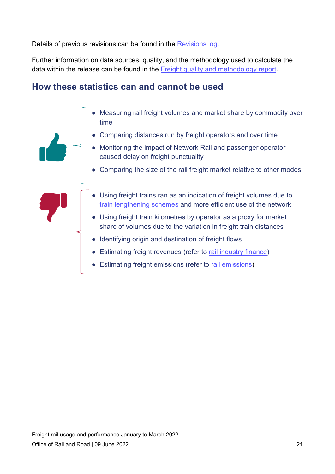Details of previous revisions can be found in the [Revisions log.](https://dataportal.orr.gov.uk/footer/revisions-log/)

Further information on data sources, quality, and the methodology used to calculate the data within the release can be found in the [Freight quality and methodology report.](https://dataportal.orr.gov.uk/media/1233/freight-quality-report.pdf)

## **How these statistics can and cannot be used**

- Measuring rail freight volumes and market share by commodity over time
	- **Comparing distances run by freight operators and over time**
	- Monitoring the impact of Network Rail and passenger operator caused delay on freight punctuality
	- Comparing the size of the rail freight market relative to other modes
	- Using freight trains ran as an indication of freight volumes due to [train lengthening schemes](https://www.networkrail.co.uk/news/building-back-better-longer-trains-are-delivering-for-freight-customers/) and more efficient use of the network
	- Using freight train kilometres by operator as a proxy for market share of volumes due to the variation in freight train distances
	- Identifying origin and destination of freight flows
	- Estimating freight revenues (refer to [rail industry finance\)](https://dataportal.orr.gov.uk/statistics/finance/rail-industry-finance/table-7243-freight-train-operator-finances-over-five-years-by-operator/)
- Estimating freight emissions (refer to [rail emissions\)](https://dataportal.orr.gov.uk/statistics/infrastructure-and-emissions/rail-emissions/)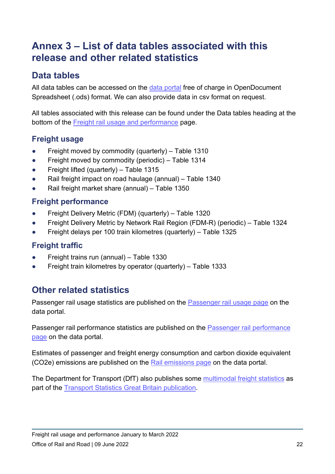# **Annex 3 – List of data tables associated with this release and other related statistics**

## **Data tables**

All data tables can be accessed on the [data portal](https://dataportal.orr.gov.uk/) free of charge in OpenDocument Spreadsheet (.ods) format. We can also provide data in csv format on request.

All tables associated with this release can be found under the Data tables heading at the bottom of the [Freight rail usage and performance](https://dataportal.orr.gov.uk/statistics/usage/freight-rail-usage-and-performance/) page.

#### **Freight usage**

- **•** Freight moved by commodity (quarterly) Table 1310
- Freight moved by commodity (periodic) Table 1314
- Freight lifted (quarterly) Table 1315
- Rail freight impact on road haulage (annual) Table 1340
- Rail freight market share (annual) Table 1350

#### **Freight performance**

- Freight Delivery Metric (FDM) (quarterly) Table 1320
- Freight Delivery Metric by Network Rail Region (FDM-R) (periodic) Table 1324
- Freight delays per 100 train kilometres (quarterly) Table 1325

#### **Freight traffic**

- Freight trains run (annual) Table 1330
- Freight train kilometres by operator (quarterly) Table 1333

#### **Other related statistics**

Passenger rail usage statistics are published on the [Passenger rail usage page](https://dataportal.orr.gov.uk/statistics/usage/passenger-rail-usage) on the data portal.

Passenger rail performance statistics are published on the [Passenger rail performance](https://dataportal.orr.gov.uk/statistics/performance/passenger-rail-performance/)  [page](https://dataportal.orr.gov.uk/statistics/performance/passenger-rail-performance/) on the data portal.

Estimates of passenger and freight energy consumption and carbon dioxide equivalent (CO2e) emissions are published on the [Rail emissions page](https://dataportal.orr.gov.uk/statistics/infrastructure-and-emissions/rail-emissions/) on the data portal.

The Department for Transport (DfT) also publishes some [multimodal freight statistics](https://www.gov.uk/government/statistical-data-sets/tsgb04-freight) as part of the Transport Statistics [Great Britain publication.](https://www.gov.uk/government/collections/transport-statistics-great-britain)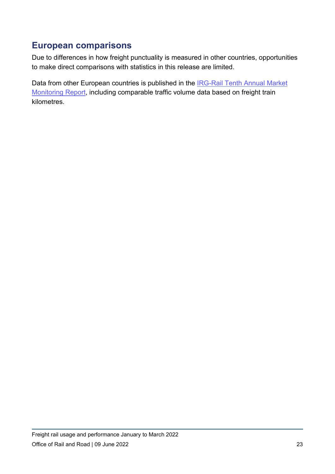#### **European comparisons**

Due to differences in how freight punctuality is measured in other countries, opportunities to make direct comparisons with statistics in this release are limited.

Data from other European countries is published in the [IRG-Rail Tenth Annual Market](https://www.irg-rail.eu/irg/documents/market-monitoring/363,2022.html)  [Monitoring Report,](https://www.irg-rail.eu/irg/documents/market-monitoring/363,2022.html) including comparable traffic volume data based on freight train kilometres.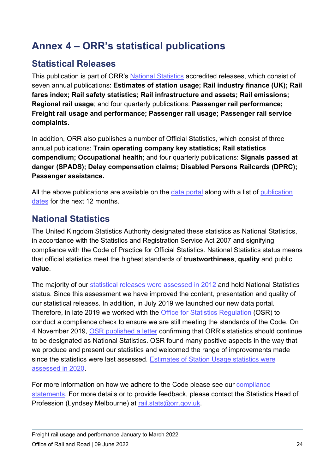# **Annex 4 – ORR's statistical publications**

## **Statistical Releases**

This publication is part of ORR's [National Statistics](https://uksa.statisticsauthority.gov.uk/about-the-authority/uk-statistical-system/types-of-official-statistics/) accredited releases, which consist of seven annual publications: **Estimates of station usage; Rail industry finance (UK); Rail fares index; Rail safety statistics; Rail infrastructure and assets; Rail emissions; Regional rail usage**; and four quarterly publications: **Passenger rail performance; Freight rail usage and performance; Passenger rail usage; Passenger rail service complaints.**

In addition, ORR also publishes a number of Official Statistics, which consist of three annual publications: **Train operating company key statistics; Rail statistics compendium; Occupational health**; and four quarterly publications: **Signals passed at danger (SPADS); Delay compensation claims; Disabled Persons Railcards (DPRC); Passenger assistance.**

All the above publications are available on the [data portal](https://dataportal.orr.gov.uk/) along with a list of publication [dates](https://dataportal.orr.gov.uk/publication-dates-for-statistics/) for the next 12 months.

## **National Statistics**

The United Kingdom Statistics Authority designated these statistics as National Statistics, in accordance with the Statistics and Registration Service Act 2007 and signifying compliance with the Code of Practice for Official Statistics. National Statistics status means that official statistics meet the highest standards of **trustworthiness**, **quality** and public **value**.

The majority of our [statistical releases were assessed in 2012](https://dataportal.orr.gov.uk/media/1334/uksa-assessment.pdf) and hold National Statistics status. Since this assessment we have improved the content, presentation and quality of our statistical releases. In addition, in July 2019 we launched our new data portal. Therefore, in late 2019 we worked with the [Office for Statistics Regulation](https://osr.statisticsauthority.gov.uk/) (OSR) to conduct a compliance check to ensure we are still meeting the standards of the Code. On 4 November 2019, [OSR published a letter](https://www.statisticsauthority.gov.uk/correspondence/compliance-check-office-rail-and-road-statistics/) confirming that ORR's statistics should continue to be designated as National Statistics. OSR found many positive aspects in the way that we produce and present our statistics and welcomed the range of improvements made since the statistics were last assessed. Estimates of Station Usage statistics were [assessed in 2020.](https://osr.statisticsauthority.gov.uk/publication/assessment-report-estimates-of-station-usage-produced-by-the-office-of-rail-and-road)

For more information on how we adhere to the Code please see our [compliance](https://dataportal.orr.gov.uk/code-of-practice/)  [statements.](https://dataportal.orr.gov.uk/code-of-practice/) For more details or to provide feedback, please contact the Statistics Head of Profession (Lyndsey Melbourne) at [rail.stats@orr.gov.uk.](mailto:rail.stats@orr.gov.uk)